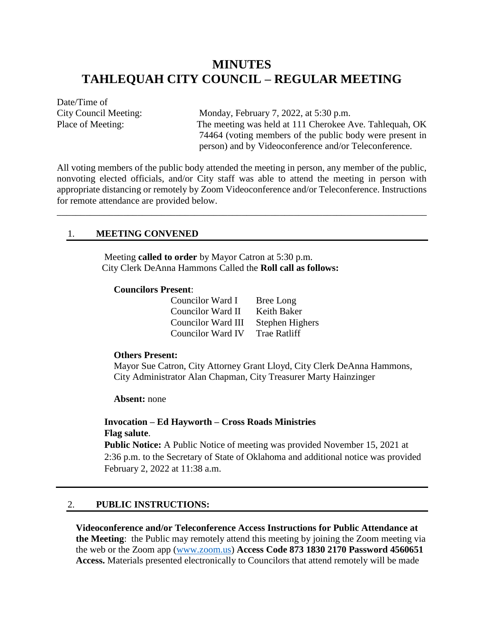# **MINUTES TAHLEQUAH CITY COUNCIL – REGULAR MEETING**

Date/Time of

City Council Meeting: Monday, February 7, 2022, at 5:30 p.m. Place of Meeting: The meeting was held at 111 Cherokee Ave. Tahlequah, OK 74464 (voting members of the public body were present in person) and by Videoconference and/or Teleconference.

All voting members of the public body attended the meeting in person, any member of the public, nonvoting elected officials, and/or City staff was able to attend the meeting in person with appropriate distancing or remotely by Zoom Videoconference and/or Teleconference. Instructions for remote attendance are provided below.

\_\_\_\_\_\_\_\_\_\_\_\_\_\_\_\_\_\_\_\_\_\_\_\_\_\_\_\_\_\_\_\_\_\_\_\_\_\_\_\_\_\_\_\_\_\_\_\_\_\_\_\_\_\_\_\_\_\_\_\_\_\_\_\_\_\_\_\_\_\_\_\_\_\_\_\_\_\_

#### 1. **MEETING CONVENED**

Meeting **called to order** by Mayor Catron at 5:30 p.m. City Clerk DeAnna Hammons Called the **Roll call as follows:**

#### **Councilors Present**:

| Councilor Ward I         | Bree Long           |
|--------------------------|---------------------|
| <b>Councilor Ward II</b> | Keith Baker         |
| Councilor Ward III       | Stephen Highers     |
| <b>Councilor Ward IV</b> | <b>Trae Ratliff</b> |

#### **Others Present:**

Mayor Sue Catron, City Attorney Grant Lloyd, City Clerk DeAnna Hammons, City Administrator Alan Chapman, City Treasurer Marty Hainzinger

**Absent:** none

## **Invocation – Ed Hayworth – Cross Roads Ministries Flag salute**.

**Public Notice:** A Public Notice of meeting was provided November 15, 2021 at 2:36 p.m. to the Secretary of State of Oklahoma and additional notice was provided February 2, 2022 at 11:38 a.m.

#### 2. **PUBLIC INSTRUCTIONS:**

**Videoconference and/or Teleconference Access Instructions for Public Attendance at the Meeting**: the Public may remotely attend this meeting by joining the Zoom meeting via the web or the Zoom app [\(www.zoom.us\)](http://www.zoom.us/) **Access Code 873 1830 2170 Password 4560651 Access.** Materials presented electronically to Councilors that attend remotely will be made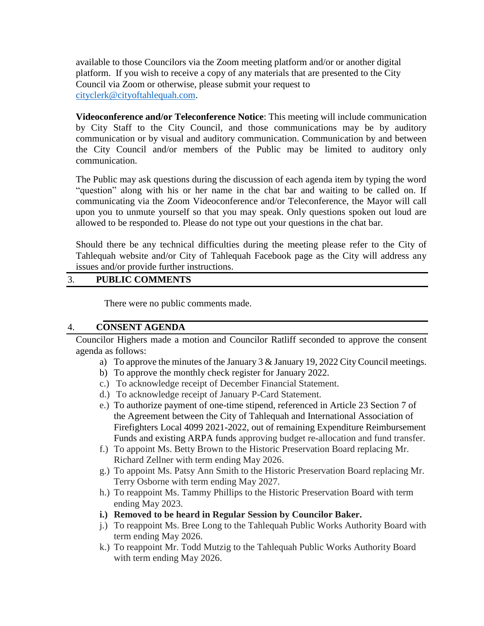available to those Councilors via the Zoom meeting platform and/or or another digital platform. If you wish to receive a copy of any materials that are presented to the City Council via Zoom or otherwise, please submit your request to [cityclerk@cityoftahlequah.com.](mailto:cityclerk@cityoftahlequah.com)

**Videoconference and/or Teleconference Notice**: This meeting will include communication by City Staff to the City Council, and those communications may be by auditory communication or by visual and auditory communication. Communication by and between the City Council and/or members of the Public may be limited to auditory only communication.

The Public may ask questions during the discussion of each agenda item by typing the word "question" along with his or her name in the chat bar and waiting to be called on. If communicating via the Zoom Videoconference and/or Teleconference, the Mayor will call upon you to unmute yourself so that you may speak. Only questions spoken out loud are allowed to be responded to. Please do not type out your questions in the chat bar.

Should there be any technical difficulties during the meeting please refer to the City of Tahlequah website and/or City of Tahlequah Facebook page as the City will address any issues and/or provide further instructions.

# 3. **PUBLIC COMMENTS**

There were no public comments made.

### 4. **CONSENT AGENDA**

Councilor Highers made a motion and Councilor Ratliff seconded to approve the consent agenda as follows:

- a) To approve the minutes of the January 3 & January 19, 2022 City Council meetings.
- b) To approve the monthly check register for January 2022.
- c.) To acknowledge receipt of December Financial Statement.
- d.) To acknowledge receipt of January P-Card Statement.
- e.) To authorize payment of one-time stipend, referenced in Article 23 Section 7 of the Agreement between the City of Tahlequah and International Association of Firefighters Local 4099 2021-2022, out of remaining Expenditure Reimbursement Funds and existing ARPA funds approving budget re-allocation and fund transfer.
- f.) To appoint Ms. Betty Brown to the Historic Preservation Board replacing Mr. Richard Zellner with term ending May 2026.
- g.) To appoint Ms. Patsy Ann Smith to the Historic Preservation Board replacing Mr. Terry Osborne with term ending May 2027.
- h.) To reappoint Ms. Tammy Phillips to the Historic Preservation Board with term ending May 2023.
- **i.) Removed to be heard in Regular Session by Councilor Baker.**
- j.) To reappoint Ms. Bree Long to the Tahlequah Public Works Authority Board with term ending May 2026.
- k.) To reappoint Mr. Todd Mutzig to the Tahlequah Public Works Authority Board with term ending May 2026.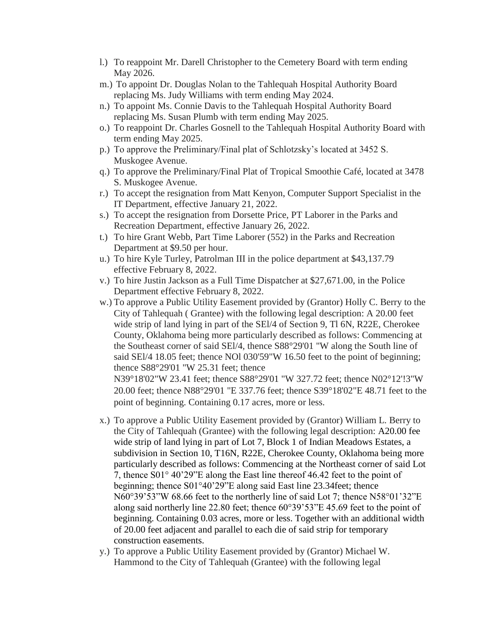- l.) To reappoint Mr. Darell Christopher to the Cemetery Board with term ending May 2026.
- m.) To appoint Dr. Douglas Nolan to the Tahlequah Hospital Authority Board replacing Ms. Judy Williams with term ending May 2024.
- n.) To appoint Ms. Connie Davis to the Tahlequah Hospital Authority Board replacing Ms. Susan Plumb with term ending May 2025.
- o.) To reappoint Dr. Charles Gosnell to the Tahlequah Hospital Authority Board with term ending May 2025.
- p.) To approve the Preliminary/Final plat of Schlotzsky's located at 3452 S. Muskogee Avenue.
- q.) To approve the Preliminary/Final Plat of Tropical Smoothie Café, located at 3478 S. Muskogee Avenue.
- r.) To accept the resignation from Matt Kenyon, Computer Support Specialist in the IT Department, effective January 21, 2022.
- s.) To accept the resignation from Dorsette Price, PT Laborer in the Parks and Recreation Department, effective January 26, 2022.
- t.) To hire Grant Webb, Part Time Laborer (552) in the Parks and Recreation Department at \$9.50 per hour.
- u.) To hire Kyle Turley, Patrolman III in the police department at \$43,137.79 effective February 8, 2022.
- v.) To hire Justin Jackson as a Full Time Dispatcher at \$27,671.00, in the Police Department effective February 8, 2022.
- w.) To approve a Public Utility Easement provided by (Grantor) Holly C. Berry to the City of Tahlequah ( Grantee) with the following legal description: A 20.00 feet wide strip of land lying in part of the SEl/4 of Section 9, Tl 6N, R22E, Cherokee County, Oklahoma being more particularly described as follows: Commencing at the Southeast corner of said SEl/4, thence S88°29'01 "W along the South line of said SEl/4 18.05 feet; thence NOl 030'59"W 16.50 feet to the point of beginning; thence S88°29'01 "W 25.31 feet; thence N39°18'02"W 23.41 feet; thence S88°29'01 "W 327.72 feet; thence N02°12'!3"W

20.00 feet; thence N88°29'01 "E 337.76 feet; thence S39°18'02"E 48.71 feet to the point of beginning. Containing 0.17 acres, more or less.

- x.) To approve a Public Utility Easement provided by (Grantor) William L. Berry to the City of Tahlequah (Grantee) with the following legal description: A20.00 fee wide strip of land lying in part of Lot 7, Block 1 of Indian Meadows Estates, a subdivision in Section 10, T16N, R22E, Cherokee County, Oklahoma being more particularly described as follows: Commencing at the Northeast corner of said Lot 7, thence S01° 40'29"E along the East line thereof 46.42 feet to the point of beginning; thence S01°40'29"E along said East line 23.34feet; thence N60°39'53"W 68.66 feet to the northerly line of said Lot 7; thence N58°01'32"E along said northerly line 22.80 feet; thence 60°39'53"E 45.69 feet to the point of beginning. Containing 0.03 acres, more or less. Together with an additional width of 20.00 feet adjacent and parallel to each die of said strip for temporary construction easements.
- y.) To approve a Public Utility Easement provided by (Grantor) Michael W. Hammond to the City of Tahlequah (Grantee) with the following legal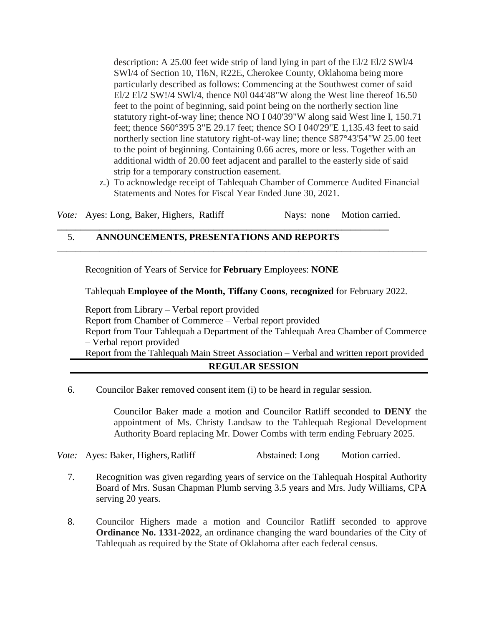description: A 25.00 feet wide strip of land lying in part of the El/2 El/2 SWl/4 SWl/4 of Section 10, Tl6N, R22E, Cherokee County, Oklahoma being more particularly described as follows: Commencing at the Southwest comer of said El/2 El/2 SW!/4 SWl/4, thence N0l 044'48"W along the West line thereof 16.50 feet to the point of beginning, said point being on the northerly section line statutory right-of-way line; thence NO I 040'39"W along said West line I, 150.71 feet; thence S60°39'5 3"E 29.17 feet; thence SO I 040'29"E 1,135.43 feet to said northerly section line statutory right-of-way line; thence S87°43'54"W 25.00 feet to the point of beginning. Containing 0.66 acres, more or less. Together with an additional width of 20.00 feet adjacent and parallel to the easterly side of said strip for a temporary construction easement.

z.) To acknowledge receipt of Tahlequah Chamber of Commerce Audited Financial Statements and Notes for Fiscal Year Ended June 30, 2021.

*Vote:* Ayes: Long, Baker, Highers, Ratliff Nays: none Motion carried.

**\_\_\_\_\_\_\_\_\_\_\_\_\_\_\_\_\_\_\_\_\_\_\_\_\_\_\_\_\_\_\_\_\_\_\_\_\_\_\_\_\_\_\_\_\_\_\_\_\_\_\_\_\_\_\_\_\_\_\_\_\_\_\_\_\_\_\_\_\_\_**

# 5. **ANNOUNCEMENTS, PRESENTATIONS AND REPORTS**

Recognition of Years of Service for **February** Employees: **NONE**

Tahlequah **Employee of the Month, Tiffany Coons**, **recognized** for February 2022.

\_\_\_\_\_\_\_\_\_\_\_\_\_\_\_\_\_\_\_\_\_\_\_\_\_\_\_\_\_\_\_\_\_\_\_\_\_\_\_\_\_\_\_\_\_\_\_\_\_\_\_\_\_\_\_\_\_\_\_\_\_\_\_\_\_\_\_\_\_\_\_\_\_\_\_\_\_\_

Report from Library – Verbal report provided Report from Chamber of Commerce – Verbal report provided Report from Tour Tahlequah a Department of the Tahlequah Area Chamber of Commerce – Verbal report provided Report from the Tahlequah Main Street Association – Verbal and written report provided

## **REGULAR SESSION**

6. Councilor Baker removed consent item (i) to be heard in regular session.

Councilor Baker made a motion and Councilor Ratliff seconded to **DENY** the appointment of Ms. Christy Landsaw to the Tahlequah Regional Development Authority Board replacing Mr. Dower Combs with term ending February 2025.

*Vote:* Ayes: Baker, Highers, Ratliff **Abstained: Long** Motion carried.

- 7. Recognition was given regarding years of service on the Tahlequah Hospital Authority Board of Mrs. Susan Chapman Plumb serving 3.5 years and Mrs. Judy Williams, CPA serving 20 years.
- 8. Councilor Highers made a motion and Councilor Ratliff seconded to approve **Ordinance No. 1331-2022**, an ordinance changing the ward boundaries of the City of Tahlequah as required by the State of Oklahoma after each federal census.